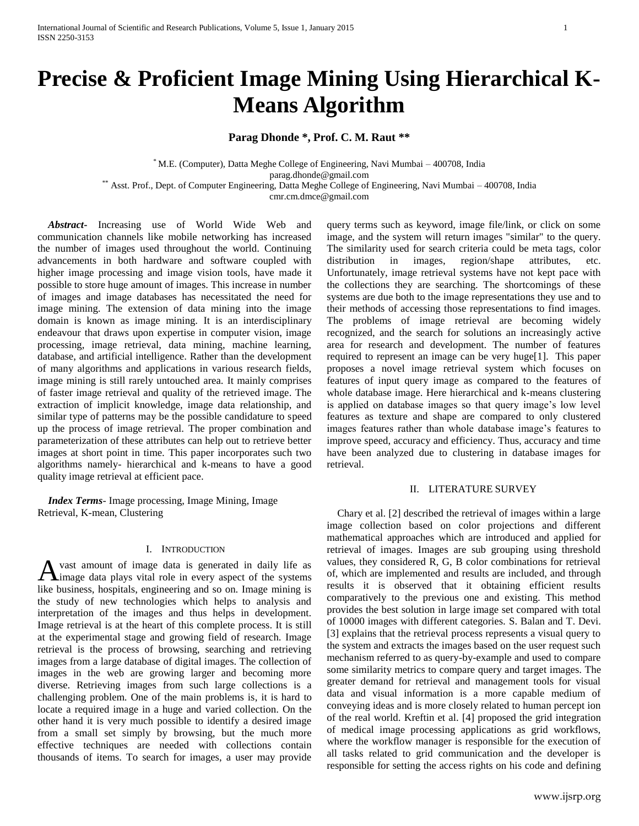# **Precise & Proficient Image Mining Using Hierarchical K-Means Algorithm**

# **Parag Dhonde \*, Prof. C. M. Raut \*\***

\* M.E. (Computer), Datta Meghe College of Engineering, Navi Mumbai – 400708, India parag.dhonde@gmail.com \*\* Asst. Prof., Dept. of Computer Engineering, Datta Meghe College of Engineering, Navi Mumbai – 400708, India cmr.cm.dmce@gmail.com

 *Abstract***-** Increasing use of World Wide Web and communication channels like mobile networking has increased the number of images used throughout the world. Continuing advancements in both hardware and software coupled with higher image processing and image vision tools, have made it possible to store huge amount of images. This increase in number of images and image databases has necessitated the need for image mining. The extension of data mining into the image domain is known as image mining. It is an interdisciplinary endeavour that draws upon expertise in computer vision, image processing, image retrieval, data mining, machine learning, database, and artificial intelligence. Rather than the development of many algorithms and applications in various research fields, image mining is still rarely untouched area. It mainly comprises of faster image retrieval and quality of the retrieved image. The extraction of implicit knowledge, image data relationship, and similar type of patterns may be the possible candidature to speed up the process of image retrieval. The proper combination and parameterization of these attributes can help out to retrieve better images at short point in time. This paper incorporates such two algorithms namely- hierarchical and k-means to have a good quality image retrieval at efficient pace.

 *Index Terms*- Image processing, Image Mining, Image Retrieval, K-mean, Clustering

## I. INTRODUCTION

vast amount of image data is generated in daily life as A vast amount of image data is generated in daily life as image data plays vital role in every aspect of the systems like business, hospitals, engineering and so on. Image mining is the study of new technologies which helps to analysis and interpretation of the images and thus helps in development. Image retrieval is at the heart of this complete process. It is still at the experimental stage and growing field of research. Image retrieval is the process of browsing, searching and retrieving images from a large database of digital images. The collection of images in the web are growing larger and becoming more diverse. Retrieving images from such large collections is a challenging problem. One of the main problems is, it is hard to locate a required image in a huge and varied collection. On the other hand it is very much possible to identify a desired image from a small set simply by browsing, but the much more effective techniques are needed with collections contain thousands of items. To search for images, a user may provide

query terms such as keyword, image file/link, or click on some image, and the system will return images "similar" to the query. The similarity used for search criteria could be meta tags, color distribution in images, region/shape attributes, etc. Unfortunately, image retrieval systems have not kept pace with the collections they are searching. The shortcomings of these systems are due both to the image representations they use and to their methods of accessing those representations to find images. The problems of image retrieval are becoming widely recognized, and the search for solutions an increasingly active area for research and development. The number of features required to represent an image can be very huge[1]. This paper proposes a novel image retrieval system which focuses on features of input query image as compared to the features of whole database image. Here hierarchical and k-means clustering is applied on database images so that query image's low level features as texture and shape are compared to only clustered images features rather than whole database image's features to improve speed, accuracy and efficiency. Thus, accuracy and time have been analyzed due to clustering in database images for retrieval.

## II. LITERATURE SURVEY

Chary et al. [2] described the retrieval of images within a large image collection based on color projections and different mathematical approaches which are introduced and applied for retrieval of images. Images are sub grouping using threshold values, they considered R, G, B color combinations for retrieval of, which are implemented and results are included, and through results it is observed that it obtaining efficient results comparatively to the previous one and existing. This method provides the best solution in large image set compared with total of 10000 images with different categories. S. Balan and T. Devi. [3] explains that the retrieval process represents a visual query to the system and extracts the images based on the user request such mechanism referred to as query-by-example and used to compare some similarity metrics to compare query and target images. The greater demand for retrieval and management tools for visual data and visual information is a more capable medium of conveying ideas and is more closely related to human percept ion of the real world. Kreftin et al. [4] proposed the grid integration of medical image processing applications as grid workflows, where the workflow manager is responsible for the execution of all tasks related to grid communication and the developer is responsible for setting the access rights on his code and defining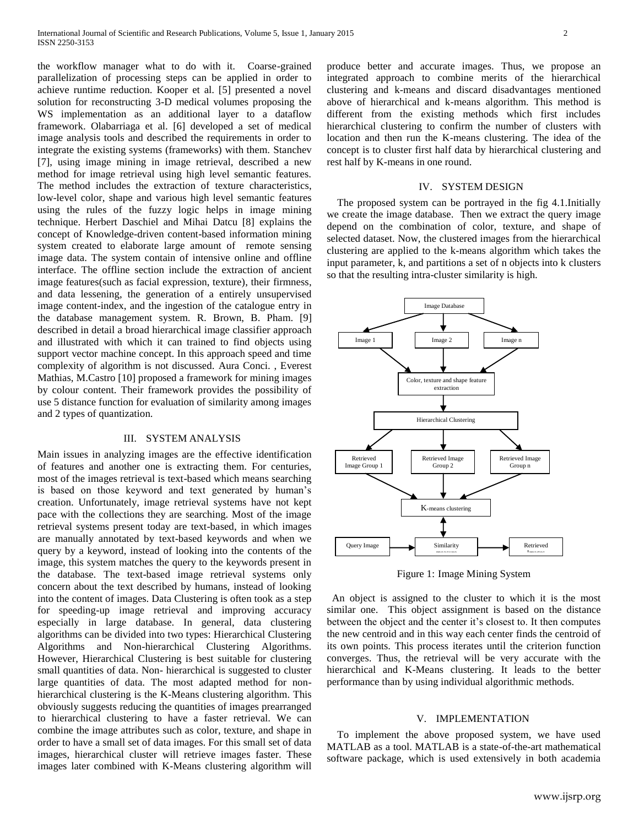the workflow manager what to do with it. Coarse-grained parallelization of processing steps can be applied in order to achieve runtime reduction. Kooper et al. [5] presented a novel solution for reconstructing 3-D medical volumes proposing the WS implementation as an additional layer to a dataflow framework. Olabarriaga et al. [6] developed a set of medical image analysis tools and described the requirements in order to integrate the existing systems (frameworks) with them. Stanchev [7], using image mining in image retrieval, described a new method for image retrieval using high level semantic features. The method includes the extraction of texture characteristics, low-level color, shape and various high level semantic features using the rules of the fuzzy logic helps in image mining technique. Herbert Daschiel and Mihai Datcu [8] explains the concept of Knowledge-driven content-based information mining system created to elaborate large amount of remote sensing image data. The system contain of intensive online and offline interface. The offline section include the extraction of ancient image features(such as facial expression, texture), their firmness, and data lessening, the generation of a entirely unsupervised image content-index, and the ingestion of the catalogue entry in the database management system. R. Brown, B. Pham. [9] described in detail a broad hierarchical image classifier approach and illustrated with which it can trained to find objects using support vector machine concept. In this approach speed and time complexity of algorithm is not discussed. Aura Conci. , Everest Mathias, M.Castro [10] proposed a framework for mining images by colour content. Their framework provides the possibility of use 5 distance function for evaluation of similarity among images and 2 types of quantization.

## III. SYSTEM ANALYSIS

Main issues in analyzing images are the effective identification of features and another one is extracting them. For centuries, most of the images retrieval is text-based which means searching is based on those keyword and text generated by human's creation. Unfortunately, image retrieval systems have not kept pace with the collections they are searching. Most of the image retrieval systems present today are text-based, in which images are manually annotated by text-based keywords and when we query by a keyword, instead of looking into the contents of the image, this system matches the query to the keywords present in the database. The text-based image retrieval systems only concern about the text described by humans, instead of looking into the content of images. Data Clustering is often took as a step for speeding-up image retrieval and improving accuracy especially in large database. In general, data clustering algorithms can be divided into two types: Hierarchical Clustering Algorithms and Non-hierarchical Clustering Algorithms. However, Hierarchical Clustering is best suitable for clustering small quantities of data. Non- hierarchical is suggested to cluster large quantities of data. The most adapted method for nonhierarchical clustering is the K-Means clustering algorithm. This obviously suggests reducing the quantities of images prearranged to hierarchical clustering to have a faster retrieval. We can combine the image attributes such as color, texture, and shape in order to have a small set of data images. For this small set of data images, hierarchical cluster will retrieve images faster. These images later combined with K-Means clustering algorithm will

produce better and accurate images. Thus, we propose an integrated approach to combine merits of the hierarchical clustering and k-means and discard disadvantages mentioned above of hierarchical and k-means algorithm. This method is different from the existing methods which first includes hierarchical clustering to confirm the number of clusters with location and then run the K-means clustering. The idea of the concept is to cluster first half data by hierarchical clustering and rest half by K-means in one round.

### IV. SYSTEM DESIGN

 The proposed system can be portrayed in the fig 4.1.Initially we create the image database. Then we extract the query image depend on the combination of color, texture, and shape of selected dataset. Now, the clustered images from the hierarchical clustering are applied to the k-means algorithm which takes the input parameter, k, and partitions a set of n objects into k clusters so that the resulting intra-cluster similarity is high.



Figure 1: Image Mining System

 An object is assigned to the cluster to which it is the most similar one. This object assignment is based on the distance between the object and the center it's closest to. It then computes the new centroid and in this way each center finds the centroid of its own points. This process iterates until the criterion function converges. Thus, the retrieval will be very accurate with the hierarchical and K-Means clustering. It leads to the better performance than by using individual algorithmic methods.

## V. IMPLEMENTATION

 To implement the above proposed system, we have used MATLAB as a tool. MATLAB is a state-of-the-art mathematical software package, which is used extensively in both academia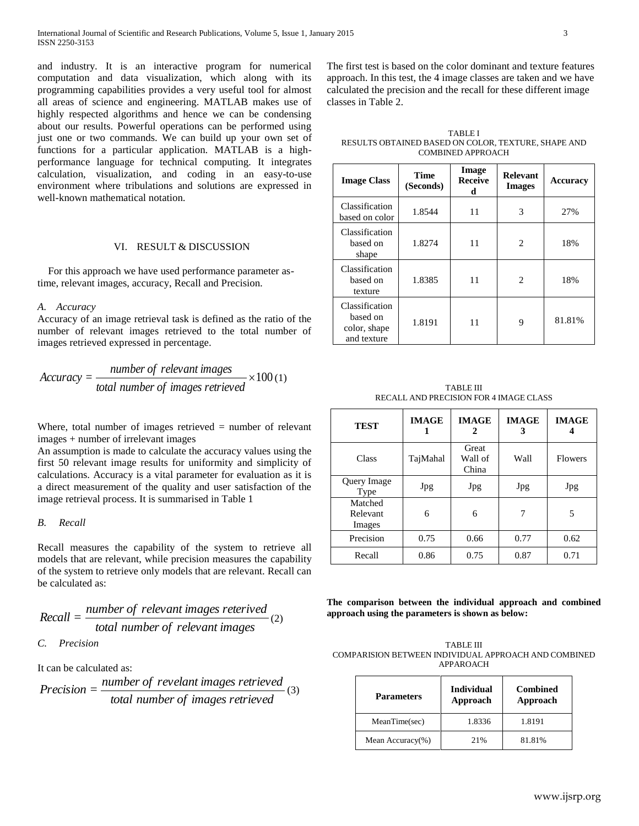and industry. It is an interactive program for numerical computation and data visualization, which along with its programming capabilities provides a very useful tool for almost all areas of science and engineering. MATLAB makes use of highly respected algorithms and hence we can be condensing about our results. Powerful operations can be performed using just one or two commands. We can build up your own set of functions for a particular application. MATLAB is a highperformance language for technical computing. It integrates calculation, visualization, and coding in an easy-to-use environment where tribulations and solutions are expressed in well-known mathematical notation.

# VI. RESULT & DISCUSSION

For this approach we have used performance parameter astime, relevant images, accuracy, Recall and Precision.

### *A. Accuracy*

Accuracy of an image retrieval task is defined as the ratio of the number of relevant images retrieved to the total number of images retrieved expressed in percentage.

$$
Accuracy = \frac{number\ of\ relevant\ images}{total\ number\ of\ images\ retrieved} \times 100\,(1)
$$

Where, total number of images retrieved  $=$  number of relevant images + number of irrelevant images

An assumption is made to calculate the accuracy values using the first 50 relevant image results for uniformity and simplicity of calculations. Accuracy is a vital parameter for evaluation as it is a direct measurement of the quality and user satisfaction of the image retrieval process. It is summarised in Table 1

## *B. Recall*

Recall measures the capability of the system to retrieve all models that are relevant, while precision measures the capability of the system to retrieve only models that are relevant. Recall can be calculated as:

Recall = 
$$
\frac{number\ of\ relevant\ images\ retrieved}{total\ number\ of\ relevant\ images}
$$
 (2)

*C. Precision*

It can be calculated as:

$$
Precision = \frac{number\ of\ reveal\ images\ retrieved}{total\ number\ of\ images\ retrieved} \tag{3}
$$

The first test is based on the color dominant and texture features approach. In this test, the 4 image classes are taken and we have calculated the precision and the recall for these different image classes in Table 2.

TABLE I RESULTS OBTAINED BASED ON COLOR, TEXTURE, SHAPE AND COMBINED APPROACH

| <b>Image Class</b>                                        | <b>Time</b><br>(Seconds) | Image<br><b>Receive</b><br>d | <b>Relevant</b><br><b>Images</b> | Accuracy |
|-----------------------------------------------------------|--------------------------|------------------------------|----------------------------------|----------|
| Classification<br>based on color                          | 1.8544                   | 11                           | 3                                | 27%      |
| Classification<br>based on<br>shape                       | 1.8274                   | 11                           | $\mathcal{D}_{\mathcal{A}}$      | 18%      |
| Classification<br>based on<br>texture                     | 1.8385                   | 11                           | $\mathfrak{D}$                   | 18%      |
| Classification<br>based on<br>color, shape<br>and texture | 1.8191                   | 11                           | 9                                | 81.81%   |

TABLE III RECALL AND PRECISION FOR 4 IMAGE CLASS

| <b>TEST</b>                   | <b>IMAGE</b> | <b>IMAGE</b>              | <b>IMAGE</b><br>3 | <b>IMAGE</b>   |
|-------------------------------|--------------|---------------------------|-------------------|----------------|
| Class                         | TajMahal     | Great<br>Wall of<br>China | Wall              | <b>Flowers</b> |
| Query Image<br>Type           | Jpg          | <b>Jpg</b>                | Jpg               | Jpg            |
| Matched<br>Relevant<br>Images | 6            | 6                         | 7                 | 5              |
| Precision                     | 0.75         | 0.66                      | 0.77              | 0.62           |
| Recall                        | 0.86         | 0.75                      | 0.87              | 0.71           |

**The comparison between the individual approach and combined approach using the parameters is shown as below:**

| TABLE III                                            |
|------------------------------------------------------|
| COMPARISION BETWEEN INDIVIDUAL APPROACH AND COMBINED |
| APPAROACH                                            |

| <b>Parameters</b> | <b>Individual</b><br>Approach | <b>Combined</b><br>Approach |  |
|-------------------|-------------------------------|-----------------------------|--|
| MeanTime(sec)     | 1.8336                        | 1.8191                      |  |
| Mean Accuracy(%)  | 21%                           | 81.81%                      |  |